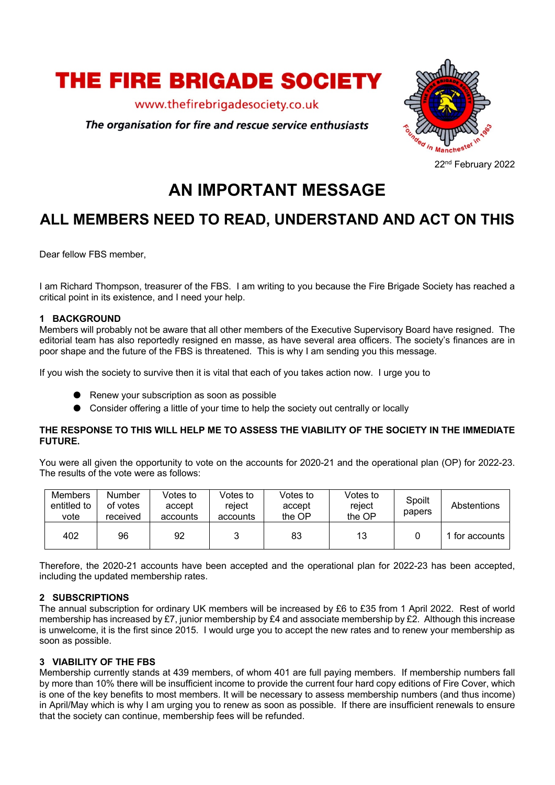

www.thefirebrigadesociety.co.uk

The organisation for fire and rescue service enthusiasts



# **AN IMPORTANT MESSAGE**

## **ALL MEMBERS NEED TO READ, UNDERSTAND AND ACT ON THIS**

Dear fellow FBS member,

I am Richard Thompson, treasurer of the FBS. I am writing to you because the Fire Brigade Society has reached a critical point in its existence, and I need your help.

#### **1 BACKGROUND**

Members will probably not be aware that all other members of the Executive Supervisory Board have resigned. The editorial team has also reportedly resigned en masse, as have several area officers. The society's finances are in poor shape and the future of the FBS is threatened. This is why I am sending you this message.

If you wish the society to survive then it is vital that each of you takes action now. I urge you to

- Renew your subscription as soon as possible
- Consider offering a little of your time to help the society out centrally or locally

#### **THE RESPONSE TO THIS WILL HELP ME TO ASSESS THE VIABILITY OF THE SOCIETY IN THE IMMEDIATE FUTURE.**

You were all given the opportunity to vote on the accounts for 2020-21 and the operational plan (OP) for 2022-23. The results of the vote were as follows:

| Members<br>entitled to<br>vote | <b>Number</b><br>of votes<br>received | Votes to<br>accept<br>accounts | Votes to<br>reiect<br>accounts | Votes to<br>accept<br>the OP | Votes to<br>reject<br>the OP | Spoilt<br>papers | Abstentions    |
|--------------------------------|---------------------------------------|--------------------------------|--------------------------------|------------------------------|------------------------------|------------------|----------------|
| 402                            | 96                                    | 92                             |                                | 83                           | 13                           |                  | 1 for accounts |

Therefore, the 2020-21 accounts have been accepted and the operational plan for 2022-23 has been accepted, including the updated membership rates.

#### **2 SUBSCRIPTIONS**

The annual subscription for ordinary UK members will be increased by £6 to £35 from 1 April 2022. Rest of world membership has increased by £7, junior membership by £4 and associate membership by £2. Although this increase is unwelcome, it is the first since 2015. I would urge you to accept the new rates and to renew your membership as soon as possible.

#### **3 VIABILITY OF THE FBS**

Membership currently stands at 439 members, of whom 401 are full paying members. If membership numbers fall by more than 10% there will be insufficient income to provide the current four hard copy editions of Fire Cover, which is one of the key benefits to most members. It will be necessary to assess membership numbers (and thus income) in April/May which is why I am urging you to renew as soon as possible. If there are insufficient renewals to ensure that the society can continue, membership fees will be refunded.